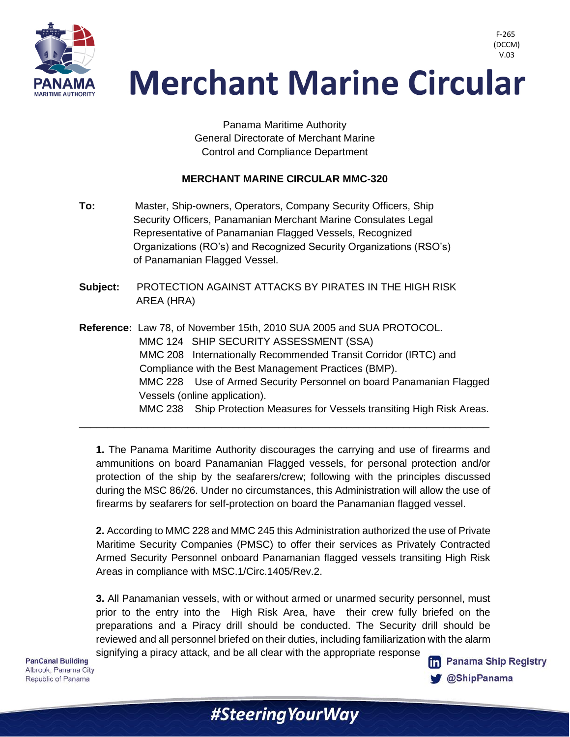

 V.03**Merchant Marine Circular** 

> Panama Maritime Authority General Directorate of Merchant Marine Control and Compliance Department

## **MERCHANT MARINE CIRCULAR MMC-320**

- **To:** Master, Ship-owners, Operators, Company Security Officers, Ship Security Officers, Panamanian Merchant Marine Consulates Legal Representative of Panamanian Flagged Vessels, Recognized Organizations (RO's) and Recognized Security Organizations (RSO's) of Panamanian Flagged Vessel.
- **Subject:** PROTECTION AGAINST ATTACKS BY PIRATES IN THE HIGH RISK AREA (HRA)
- **Reference:** Law 78, of November 15th, 2010 SUA 2005 and SUA PROTOCOL. MMC 124 SHIP SECURITY ASSESSMENT (SSA) MMC 208 Internationally Recommended Transit Corridor (IRTC) and Compliance with the Best Management Practices (BMP). MMC 228 Use of Armed Security Personnel on board Panamanian Flagged Vessels (online application). MMC 238 Ship Protection Measures for Vessels transiting High Risk Areas.

\_\_\_\_\_\_\_\_\_\_\_\_\_\_\_\_\_\_\_\_\_\_\_\_\_\_\_\_\_\_\_\_\_\_\_\_\_\_\_\_\_\_\_\_\_\_\_\_\_\_\_\_\_\_\_\_\_\_\_\_\_\_\_\_\_\_\_\_\_\_\_\_

**1.** The Panama Maritime Authority discourages the carrying and use of firearms and ammunitions on board Panamanian Flagged vessels, for personal protection and/or protection of the ship by the seafarers/crew; following with the principles discussed during the MSC 86/26. Under no circumstances, this Administration will allow the use of firearms by seafarers for self-protection on board the Panamanian flagged vessel.

**2.** According to MMC 228 and MMC 245 this Administration authorized the use of Private Maritime Security Companies (PMSC) to offer their services as Privately Contracted Armed Security Personnel onboard Panamanian flagged vessels transiting High Risk Areas in compliance with MSC.1/Circ.1405/Rev.2.

**3.** All Panamanian vessels, with or without armed or unarmed security personnel, must prior to the entry into the High Risk Area, have their crew fully briefed on the preparations and a Piracy drill should be conducted. The Security drill should be reviewed and all personnel briefed on their duties, including familiarization with the alarm signifying a piracy attack, and be all clear with the appropriate response

#Steering Your Way

**PanCanal Building** Albrook. Panama City Republic of Panama



F-265 (DCCM)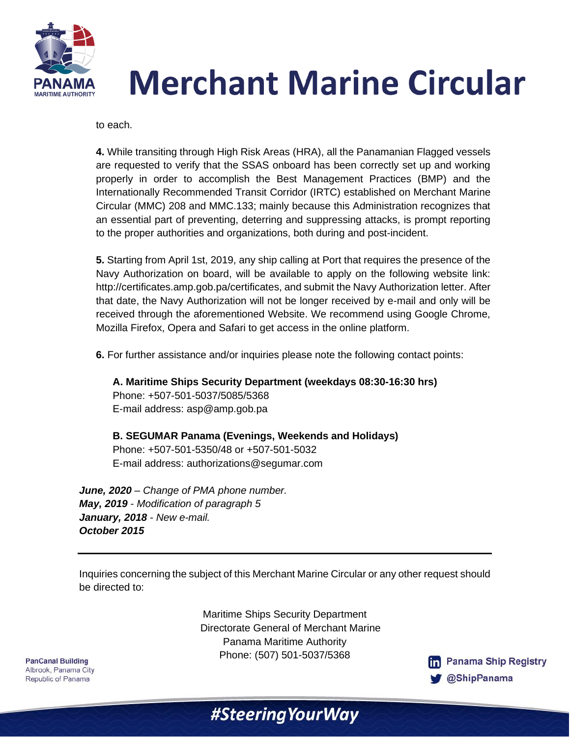



to each.

**4.** While transiting through High Risk Areas (HRA), all the Panamanian Flagged vessels are requested to verify that the SSAS onboard has been correctly set up and working properly in order to accomplish the Best Management Practices (BMP) and the Internationally Recommended Transit Corridor (IRTC) established on Merchant Marine Circular (MMC) 208 and MMC.133; mainly because this Administration recognizes that an essential part of preventing, deterring and suppressing attacks, is prompt reporting to the proper authorities and organizations, both during and post-incident.

**5.** Starting from April 1st, 2019, any ship calling at Port that requires the presence of the Navy Authorization on board, will be available to apply on the following website link: http://certificates.amp.gob.pa/certificates, and submit the Navy Authorization letter. After that date, the Navy Authorization will not be longer received by e-mail and only will be received through the aforementioned Website. We recommend using Google Chrome, Mozilla Firefox, Opera and Safari to get access in the online platform.

**6.** For further assistance and/or inquiries please note the following contact points:

**A. Maritime Ships Security Department (weekdays 08:30-16:30 hrs)** Phone: +507-501-5037/5085/5368 E-mail address: asp@amp.gob.pa

**B. SEGUMAR Panama (Evenings, Weekends and Holidays)** Phone: +507-501-5350/48 or +507-501-5032 E-mail address: authorizations@segumar.com

*June, 2020 – Change of PMA phone number. May, 2019 - Modification of paragraph 5 January, 2018 - New e-mail. October 2015*

Inquiries concerning the subject of this Merchant Marine Circular or any other request should be directed to:

> Maritime Ships Security Department Directorate General of Merchant Marine Panama Maritime Authority Phone: (507) 501-5037/5368

#SteeringYourWay

**PanCanal Building** Albrook, Panama City Republic of Panama